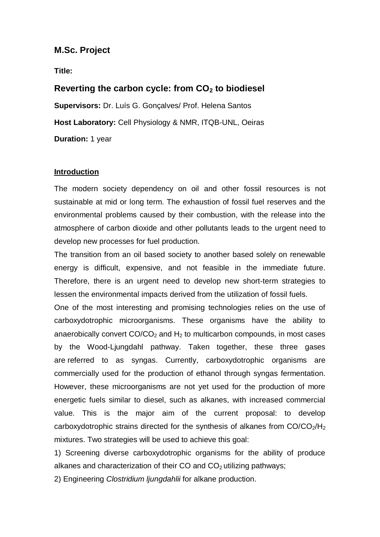## **M.Sc. Project**

**Title:** 

# **Reverting the carbon cycle: from CO<sup>2</sup> to biodiesel**

**Supervisors:** Dr. Luís G. Gonçalves/ Prof. Helena Santos **Host Laboratory:** Cell Physiology & NMR, ITQB-UNL, Oeiras **Duration:** 1 year

#### **Introduction**

The modern society dependency on oil and other fossil resources is not sustainable at mid or long term. The exhaustion of fossil fuel reserves and the environmental problems caused by their combustion, with the release into the atmosphere of carbon dioxide and other pollutants leads to the urgent need to develop new processes for fuel production.

The transition from an oil based society to another based solely on renewable energy is difficult, expensive, and not feasible in the immediate future. Therefore, there is an urgent need to develop new short-term strategies to lessen the environmental impacts derived from the utilization of fossil fuels.

One of the most interesting and promising technologies relies on the use of carboxydotrophic microorganisms. These organisms have the ability to anaerobically convert  $CO/CO<sub>2</sub>$  and  $H<sub>2</sub>$  to multicarbon compounds, in most cases by the Wood-Ljungdahl pathway. Taken together, these three gases are referred to as syngas. Currently, carboxydotrophic organisms are commercially used for the production of ethanol through syngas fermentation. However, these microorganisms are not yet used for the production of more energetic fuels similar to diesel, such as alkanes, with increased commercial value. This is the major aim of the current proposal: to develop carboxydotrophic strains directed for the synthesis of alkanes from  $CO/CO<sub>2</sub>/H<sub>2</sub>$ mixtures. Two strategies will be used to achieve this goal:

1) Screening diverse carboxydotrophic organisms for the ability of produce alkanes and characterization of their CO and  $CO<sub>2</sub>$  utilizing pathways;

2) Engineering *Clostridium ljungdahlii* for alkane production.